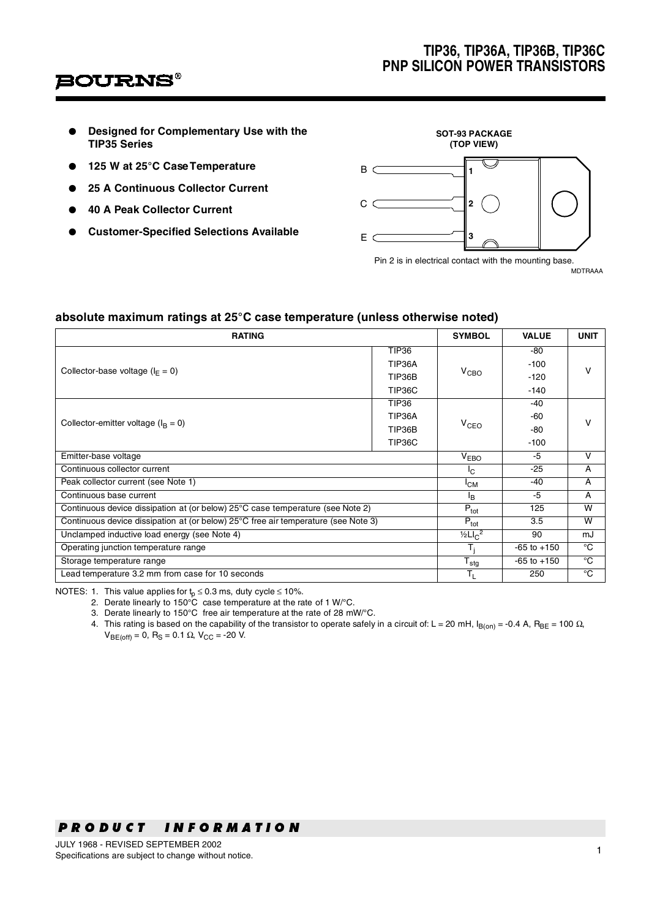## **TIP36, TIP36A, TIP36B, TIP36C PNP SILICON POWER TRANSISTORS**

## **'OURNS**

- **Designed for Complementary Use with the TIP35 Series**
- **125 W at 25°C Case Temperature**
- **25 A Continuous Collector Current**
- **40 A Peak Collector Current**
- **Customer-Specified Selections Available**



Pin 2 is in electrical contact with the mounting base. MDTRAAA

## **absolute maximum ratings at 25°C case temperature (unless otherwise noted)**

| <b>RATING</b>                                                                      |                                      |                 | <b>VALUE</b>    | <b>UNIT</b> |  |
|------------------------------------------------------------------------------------|--------------------------------------|-----------------|-----------------|-------------|--|
|                                                                                    | <b>TIP36</b>                         |                 | -80             | v           |  |
| Collector-base voltage ( $I_F = 0$ )                                               | TIP36A                               |                 | $-100$          |             |  |
|                                                                                    | TIP36B                               | $V_{CRO}$       | $-120$          |             |  |
|                                                                                    | TIP36C                               |                 | $-140$          |             |  |
|                                                                                    | <b>TIP36</b>                         |                 | -40             |             |  |
| Collector-emitter voltage ( $I_R = 0$ )                                            | TIP36A                               |                 | -60             | v           |  |
|                                                                                    | TIP36B                               | $V_{CEO}$       | -80             |             |  |
|                                                                                    | TIP36C                               |                 | $-100$          |             |  |
| Emitter-base voltage                                                               | $\overline{V}_{EBO}$                 | -5              | $\mathsf{V}$    |             |  |
| Continuous collector current                                                       | $I_{\rm C}$                          | $-25$           | A               |             |  |
| Peak collector current (see Note 1)                                                | <sup>I</sup> CM                      | $-40$           | A               |             |  |
| Continuous base current                                                            | <sup>I</sup> B                       | $-5$            | A               |             |  |
| Continuous device dissipation at (or below) 25°C case temperature (see Note 2)     |                                      |                 | 125             | W           |  |
| Continuous device dissipation at (or below) 25°C free air temperature (see Note 3) |                                      |                 | 3.5             | W           |  |
| Unclamped inductive load energy (see Note 4)                                       |                                      |                 | 90              | mJ          |  |
| Operating junction temperature range                                               |                                      |                 | $-65$ to $+150$ | °C          |  |
| Storage temperature range                                                          | $\bar{\bm{\mathsf{T}}}_{\text{stg}}$ | $-65$ to $+150$ | $^{\circ}$ C    |             |  |
| Lead temperature 3.2 mm from case for 10 seconds                                   | T <sub>L</sub><br>250                |                 | $^{\circ}$ C    |             |  |

NOTES: 1. This value applies for  $t_0 \le 0.3$  ms, duty cycle  $\le 10\%$ .

2. Derate linearly to  $150^{\circ}$ C case temperature at the rate of 1 W/ $^{\circ}$ C.

3. Derate linearly to 150°C free air temperature at the rate of 28 mW/°C.

4. This rating is based on the capability of the transistor to operate safely in a circuit of: L = 20 mH,  $I_{\text{B(0n)}} = -0.4$  A,  $R_{\text{BE}} = 100 \Omega$ ,  $V_{BE(off)} = 0$ , R<sub>S</sub> = 0.1 Ω, V<sub>CC</sub> = -20 V.

# -- --- - - - - -<br>าว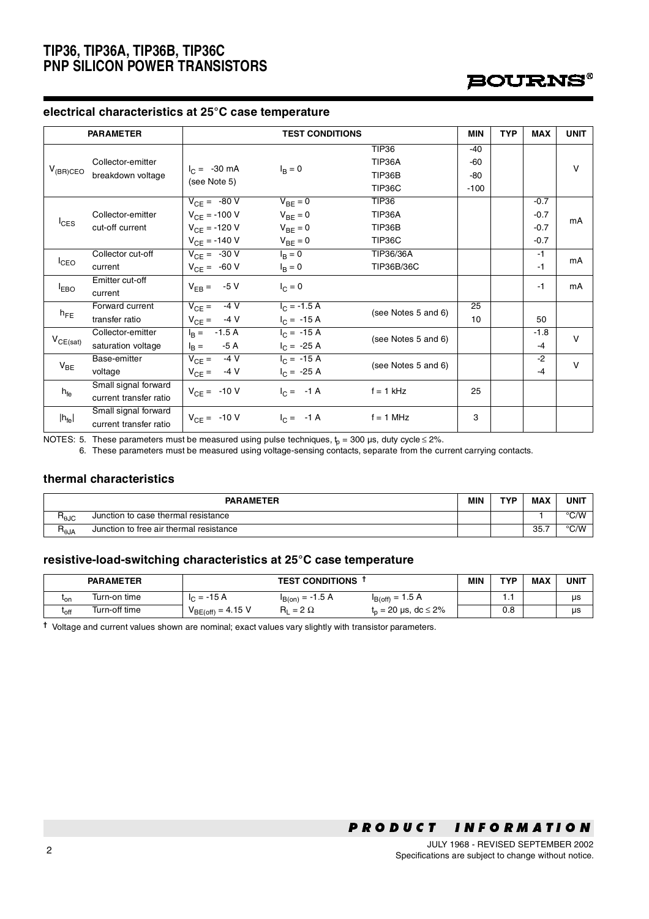## **TIP36, TIP36A, TIP36B, TIP36C PNP SILICON POWER TRANSISTORS**



### **electrical characteristics at 25°C case temperature**

| <b>PARAMETER</b>  |                                        | <b>TEST CONDITIONS</b>   |                      |                     | <b>MIN</b> | <b>TYP</b> | <b>MAX</b> | <b>UNIT</b> |
|-------------------|----------------------------------------|--------------------------|----------------------|---------------------|------------|------------|------------|-------------|
| $V_{(BR)CEO}$     | Collector-emitter<br>breakdown voltage |                          |                      | <b>TIP36</b>        | $-40$      |            |            |             |
|                   |                                        | $I_C = -30 \text{ mA}$   | $I_R = 0$            | TIP36A              | $-60$      |            |            | $\vee$      |
|                   |                                        |                          |                      | TIP36B              | -80        |            |            |             |
|                   |                                        | (see Note 5)             |                      | TIP36C              | $-100$     |            |            |             |
| $I_{CES}$         |                                        | $V_{CE} = -80 V$         | $V_{BE} = 0$         | <b>TIP36</b>        |            |            | $-0.7$     |             |
|                   | Collector-emitter                      | $V_{CF} = -100 V$        | $V_{BE} = 0$         | TIP36A              |            |            | $-0.7$     | mA          |
|                   | cut-off current                        | $V_{CF} = -120 V$        | $V_{BE} = 0$         | TIP36B              |            |            | $-0.7$     |             |
|                   |                                        | $V_{CF} = -140 V$        | $V_{BE} = 0$         | TIP36C              |            |            | $-0.7$     |             |
| $I_{CEO}$         | Collector cut-off                      | $V_{CE} = -30 V$         | $I_{\rm B} = 0$      | TIP36/36A           |            |            | $-1$       | mA          |
|                   | current                                | $V_{CE} = -60 V$         | $I_B = 0$            | TIP36B/36C          |            |            | $-1$       |             |
|                   | Emitter cut-off                        | $V_{EB} = -5 V$          |                      |                     |            |            | $-1$       | mA          |
| <sup>I</sup> EBO  | current                                |                          | $I_C = 0$            |                     |            |            |            |             |
|                   | Forward current                        | $-4V$<br>$V_{CE} =$      | $I_{C} = -1.5 A$     | (see Notes 5 and 6) | 25         |            |            |             |
| $h_{FE}$          | transfer ratio                         | $V_{CE} = -4 V$          | $I_C = -15 A$        |                     | 10         |            | 50         |             |
|                   | Collector-emitter                      | $-1.5A$<br>$I_{\rm B} =$ | $I_C = -15 A$        | (see Notes 5 and 6) |            |            | $-1.8$     | $\vee$      |
| $V_{CE(sat)}$     | saturation voltage                     | $I_{\rm B} =$<br>-5 A    | $I_C = -25 A$        |                     |            |            | $-4$       |             |
|                   | Base-emitter                           | $-4V$<br>$V_{CE} =$      | $I_C = -15 A$        | (see Notes 5 and 6) |            |            | $-2$       | $\vee$      |
| $V_{BE}$          | voltage                                | $V_{CE} = -4 V$          | $I_C = -25 A$        |                     |            |            | $-4$       |             |
| $h_{\text{fe}}$   | Small signal forward                   |                          | $I_C = -1 A$         | $f = 1$ kHz         | 25         |            |            |             |
|                   | current transfer ratio                 | $V_{CE} = -10 V$         |                      |                     |            |            |            |             |
| $ h_{\text{fe}} $ | Small signal forward                   | $V_{CE} = -10 V$         | $I_C = -1 \text{ A}$ | $f = 1$ MHz         | 3          |            |            |             |
|                   | current transfer ratio                 |                          |                      |                     |            |            |            |             |

NOTES: 5. These parameters must be measured using pulse techniques,  $t_p = 300$  µs, duty cycle  $\leq 2\%$ .

6. These parameters must be measured using voltage-sensing contacts, separate from the current carrying contacts.

#### **thermal characteristics**

| <b>PARAMETER</b> |                                         |  | <b>TYP</b> | <b>MAX</b> | UNIT          |
|------------------|-----------------------------------------|--|------------|------------|---------------|
| ⊓⊕ედ             | Junction to case thermal resistance     |  |            |            | °C/W          |
| ¬⊕JA             | Junction to free air thermal resistance |  |            | 35.7       | $\degree$ C/W |

### **resistive-load-switching characteristics at 25°C case temperature**

|              | <b>PARAMETER</b> | <b>TEST CONDITIONS</b>  |                     |                                  | <b>MIN</b> | <b>TVD</b> | <b>MAX</b> | UNIT |
|--------------|------------------|-------------------------|---------------------|----------------------------------|------------|------------|------------|------|
| ∙on          | Turn-on time     | $-15A$<br>$=$<br>$\sim$ | $= -1.5 A$<br>B(on) | $I_{B(off)} = 1.5 A$             |            | . .        |            | us   |
| <b>L</b> off | Turn-off time    | $V_{BE(off)} = 4.15 V$  | $= 2 \Omega$<br>R۱  | $_{\rm n}$ = 20 µs, dc $\leq$ 2% |            | 0.8        |            | μs   |

**†** Voltage and current values shown are nominal; exact values vary slightly with transistor parameters.

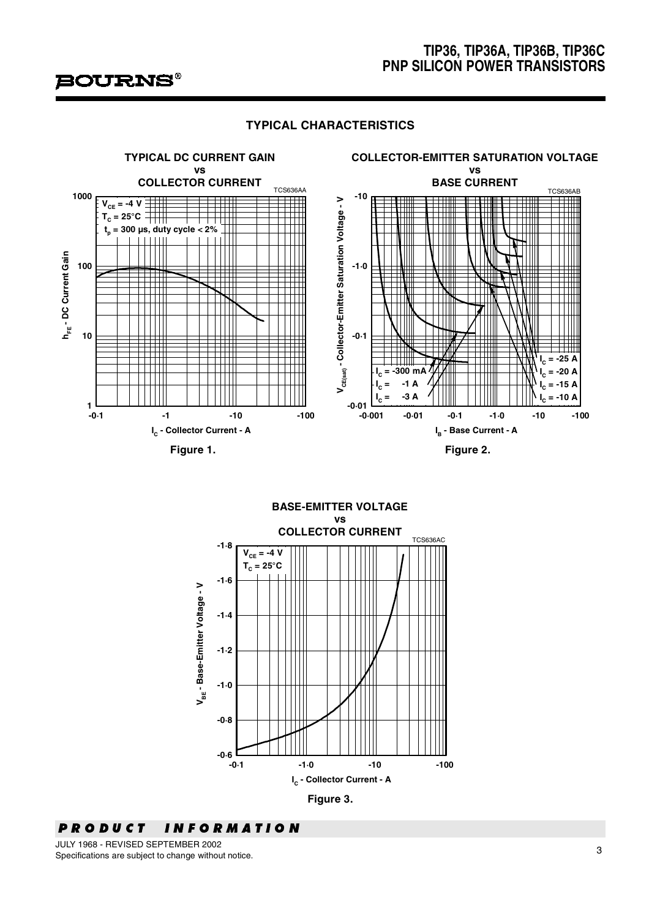

## **TIP36, TIP36A, TIP36B, TIP36C PNP SILICON POWER TRANSISTORS**

## **TYPICAL CHARACTERISTICS**





#### -- --- -- - - -<br>~  $\overline{\phantom{a}}$

- -JULY 1968 - REVISED SEPTEMBER 2002 Specifications are subject to change without notice.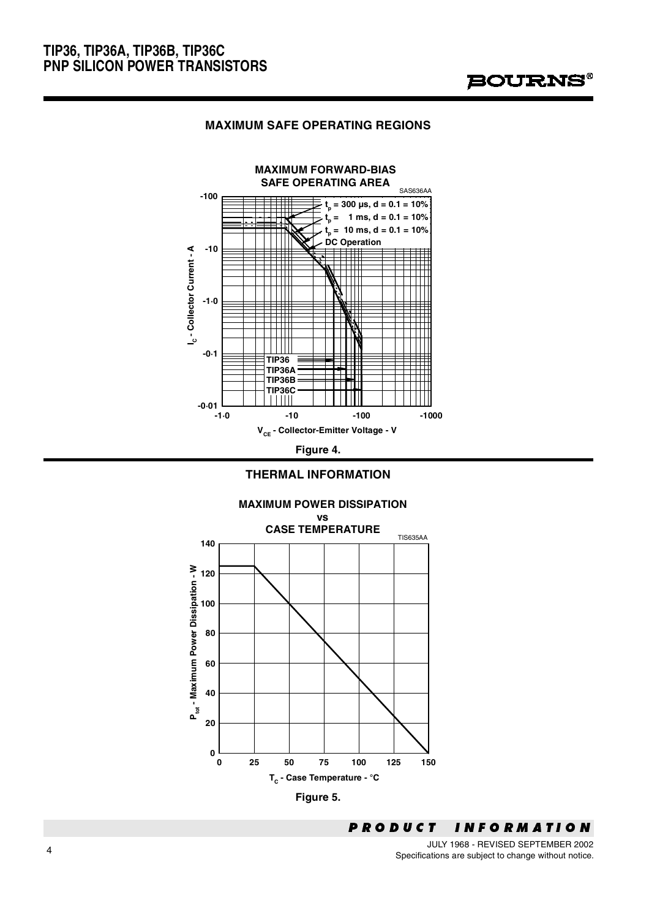## **MAXIMUM SAFE OPERATING REGIONS**



**Figure 4.** 







 -- JULY 1968 - REVISED SEPTEMBER 2002 Specifications are subject to change without notice.